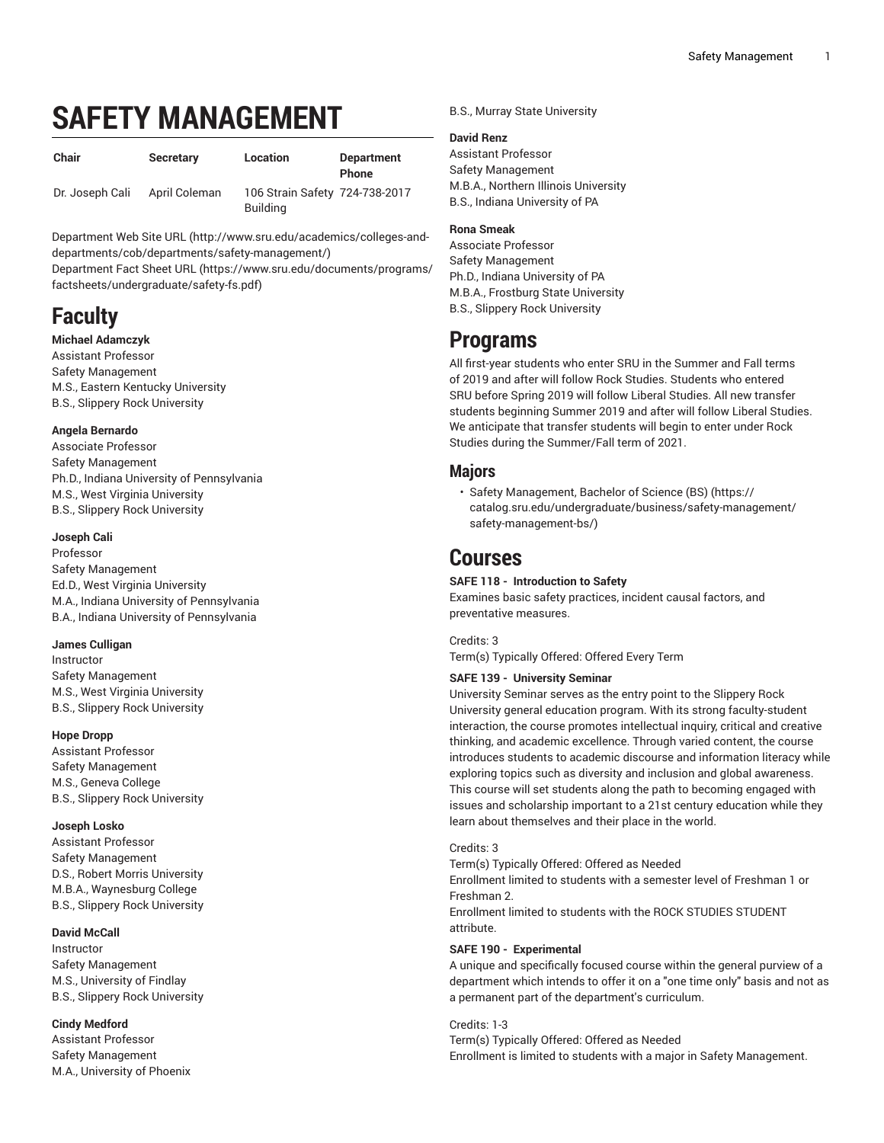# **SAFETY MANAGEMENT**

| <b>Chair</b>    | <b>Secretary</b> | Location                                          | <b>Department</b><br><b>Phone</b> |
|-----------------|------------------|---------------------------------------------------|-----------------------------------|
| Dr. Joseph Cali | April Coleman    | 106 Strain Safety 724-738-2017<br><b>Building</b> |                                   |

[Department](http://www.sru.edu/academics/colleges-and-departments/cob/departments/safety-management/) Web Site URL ([http://www.sru.edu/academics/colleges-and](http://www.sru.edu/academics/colleges-and-departments/cob/departments/safety-management/)[departments/cob/departments/safety-management/\)](http://www.sru.edu/academics/colleges-and-departments/cob/departments/safety-management/)

[Department](https://www.sru.edu/documents/programs/factsheets/undergraduate/safety-fs.pdf) Fact Sheet URL ([https://www.sru.edu/documents/programs/](https://www.sru.edu/documents/programs/factsheets/undergraduate/safety-fs.pdf) [factsheets/undergraduate/safety-fs.pdf\)](https://www.sru.edu/documents/programs/factsheets/undergraduate/safety-fs.pdf)

# **Faculty**

#### **Michael Adamczyk**

Assistant Professor Safety Management M.S., Eastern Kentucky University B.S., Slippery Rock University

# **Angela Bernardo**

Associate Professor Safety Management Ph.D., Indiana University of Pennsylvania M.S., West Virginia University B.S., Slippery Rock University

# **Joseph Cali**

Professor Safety Management Ed.D., West Virginia University M.A., Indiana University of Pennsylvania B.A., Indiana University of Pennsylvania

# **James Culligan**

Instructor Safety Management M.S., West Virginia University B.S., Slippery Rock University

#### **Hope Dropp**

Assistant Professor Safety Management M.S., Geneva College B.S., Slippery Rock University

# **Joseph Losko**

Assistant Professor Safety Management D.S., Robert Morris University M.B.A., Waynesburg College B.S., Slippery Rock University

# **David McCall**

Instructor Safety Management M.S., University of Findlay B.S., Slippery Rock University

#### **Cindy Medford**

Assistant Professor Safety Management M.A., University of Phoenix B.S., Murray State University

#### **David Renz**

Assistant Professor Safety Management M.B.A., Northern Illinois University B.S., Indiana University of PA

# **Rona Smeak**

Associate Professor Safety Management Ph.D., Indiana University of PA M.B.A., Frostburg State University B.S., Slippery Rock University

# **Programs**

All first-year students who enter SRU in the Summer and Fall terms of 2019 and after will follow Rock Studies. Students who entered SRU before Spring 2019 will follow Liberal Studies. All new transfer students beginning Summer 2019 and after will follow Liberal Studies. We anticipate that transfer students will begin to enter under Rock Studies during the Summer/Fall term of 2021.

# **Majors**

• Safety [Management,](https://catalog.sru.edu/undergraduate/business/safety-management/safety-management-bs/) Bachelor of Science (BS) [\(https://](https://catalog.sru.edu/undergraduate/business/safety-management/safety-management-bs/) [catalog.sru.edu/undergraduate/business/safety-management/](https://catalog.sru.edu/undergraduate/business/safety-management/safety-management-bs/) [safety-management-bs/\)](https://catalog.sru.edu/undergraduate/business/safety-management/safety-management-bs/)

# **Courses**

# **SAFE 118 - Introduction to Safety**

Examines basic safety practices, incident causal factors, and preventative measures.

Credits: 3 Term(s) Typically Offered: Offered Every Term

# **SAFE 139 - University Seminar**

University Seminar serves as the entry point to the Slippery Rock University general education program. With its strong faculty-student interaction, the course promotes intellectual inquiry, critical and creative thinking, and academic excellence. Through varied content, the course introduces students to academic discourse and information literacy while exploring topics such as diversity and inclusion and global awareness. This course will set students along the path to becoming engaged with issues and scholarship important to a 21st century education while they learn about themselves and their place in the world.

Credits: 3

Term(s) Typically Offered: Offered as Needed Enrollment limited to students with a semester level of Freshman 1 or Freshman 2. Enrollment limited to students with the ROCK STUDIES STUDENT attribute.

#### **SAFE 190 - Experimental**

A unique and specifically focused course within the general purview of a department which intends to offer it on a "one time only" basis and not as a permanent part of the department's curriculum.

Credits: 1-3 Term(s) Typically Offered: Offered as Needed Enrollment is limited to students with a major in Safety Management.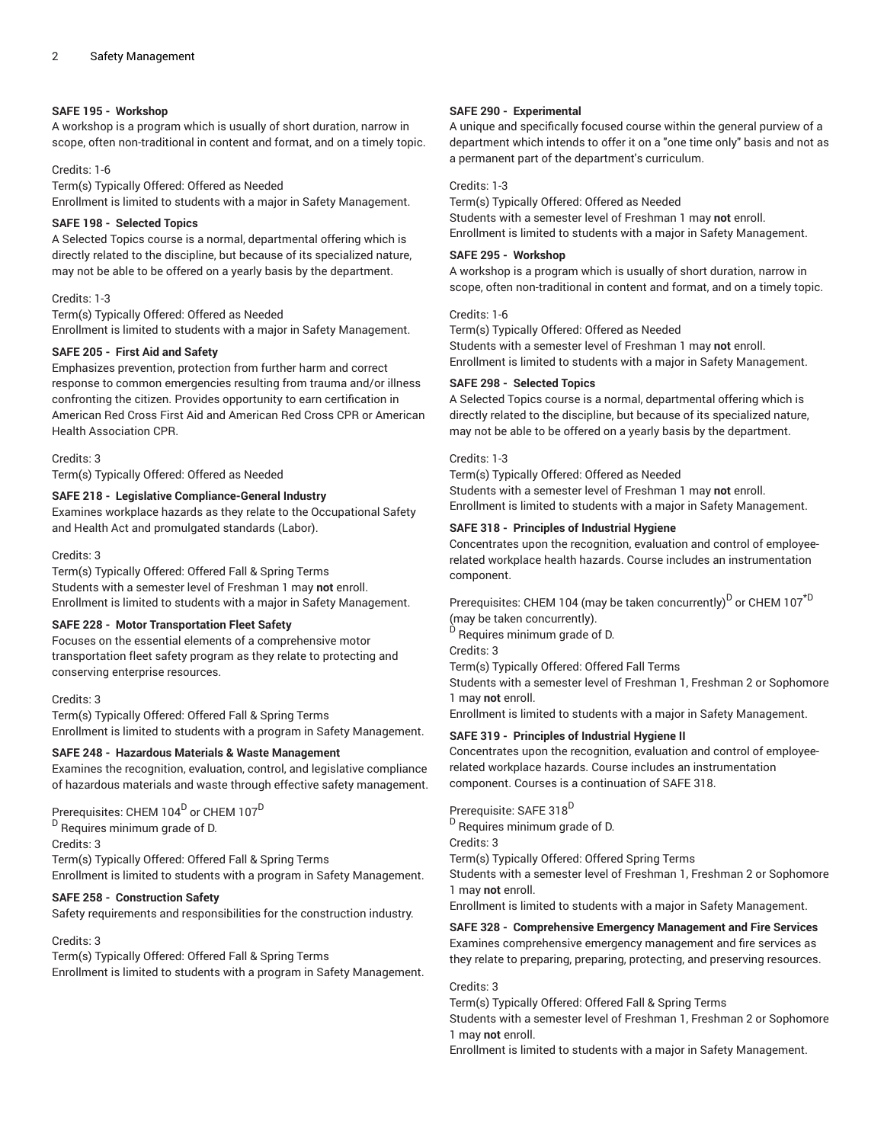#### **SAFE 195 - Workshop**

A workshop is a program which is usually of short duration, narrow in scope, often non-traditional in content and format, and on a timely topic.

#### Credits: 1-6

Term(s) Typically Offered: Offered as Needed Enrollment is limited to students with a major in Safety Management.

# **SAFE 198 - Selected Topics**

A Selected Topics course is a normal, departmental offering which is directly related to the discipline, but because of its specialized nature, may not be able to be offered on a yearly basis by the department.

#### Credits: 1-3

Term(s) Typically Offered: Offered as Needed Enrollment is limited to students with a major in Safety Management.

#### **SAFE 205 - First Aid and Safety**

Emphasizes prevention, protection from further harm and correct response to common emergencies resulting from trauma and/or illness confronting the citizen. Provides opportunity to earn certification in American Red Cross First Aid and American Red Cross CPR or American Health Association CPR.

#### Credits: 3

Term(s) Typically Offered: Offered as Needed

#### **SAFE 218 - Legislative Compliance-General Industry**

Examines workplace hazards as they relate to the Occupational Safety and Health Act and promulgated standards (Labor).

#### Credits: 3

Term(s) Typically Offered: Offered Fall & Spring Terms Students with a semester level of Freshman 1 may **not** enroll. Enrollment is limited to students with a major in Safety Management.

# **SAFE 228 - Motor Transportation Fleet Safety**

Focuses on the essential elements of a comprehensive motor transportation fleet safety program as they relate to protecting and conserving enterprise resources.

#### Credits: 3

Term(s) Typically Offered: Offered Fall & Spring Terms Enrollment is limited to students with a program in Safety Management.

#### **SAFE 248 - Hazardous Materials & Waste Management**

Examines the recognition, evaluation, control, and legislative compliance of hazardous materials and waste through effective safety management.

Prerequisites: CHEM 104 $^{\mathsf{D}}$  or CHEM 107 $^{\mathsf{D}}$ 

<sup>D</sup> Requires minimum grade of D.

Credits: 3

Term(s) Typically Offered: Offered Fall & Spring Terms

Enrollment is limited to students with a program in Safety Management.

# **SAFE 258 - Construction Safety**

Safety requirements and responsibilities for the construction industry.

#### Credits: 3

Term(s) Typically Offered: Offered Fall & Spring Terms Enrollment is limited to students with a program in Safety Management.

#### **SAFE 290 - Experimental**

A unique and specifically focused course within the general purview of a department which intends to offer it on a "one time only" basis and not as a permanent part of the department's curriculum.

#### Credits: 1-3

Term(s) Typically Offered: Offered as Needed Students with a semester level of Freshman 1 may **not** enroll. Enrollment is limited to students with a major in Safety Management.

#### **SAFE 295 - Workshop**

A workshop is a program which is usually of short duration, narrow in scope, often non-traditional in content and format, and on a timely topic.

#### Credits: 1-6

Term(s) Typically Offered: Offered as Needed Students with a semester level of Freshman 1 may **not** enroll. Enrollment is limited to students with a major in Safety Management.

#### **SAFE 298 - Selected Topics**

A Selected Topics course is a normal, departmental offering which is directly related to the discipline, but because of its specialized nature, may not be able to be offered on a yearly basis by the department.

#### Credits: 1-3

Term(s) Typically Offered: Offered as Needed Students with a semester level of Freshman 1 may **not** enroll. Enrollment is limited to students with a major in Safety Management.

#### **SAFE 318 - Principles of Industrial Hygiene**

Concentrates upon the recognition, evaluation and control of employeerelated workplace health hazards. Course includes an instrumentation component.

Prerequisites: CHEM 104 (may be taken concurrently)<sup>D</sup> or CHEM 107<sup>\*D</sup> (may be taken concurrently). <sup>D</sup> Requires minimum grade of D. Credits: 3 Term(s) Typically Offered: Offered Fall Terms Students with a semester level of Freshman 1, Freshman 2 or Sophomore 1 may **not** enroll. Enrollment is limited to students with a major in Safety Management.

# **SAFE 319 - Principles of Industrial Hygiene II**

Concentrates upon the recognition, evaluation and control of employeerelated workplace hazards. Course includes an instrumentation component. Courses is a continuation of SAFE 318.

Prerequisite: SAFE 318<sup>D</sup> <sup>D</sup> Requires minimum grade of D. Credits: 3 Term(s) Typically Offered: Offered Spring Terms Students with a semester level of Freshman 1, Freshman 2 or Sophomore 1 may **not** enroll. Enrollment is limited to students with a major in Safety Management.

# **SAFE 328 - Comprehensive Emergency Management and Fire Services** Examines comprehensive emergency management and fire services as

they relate to preparing, preparing, protecting, and preserving resources.

#### Credits: 3

Term(s) Typically Offered: Offered Fall & Spring Terms

Students with a semester level of Freshman 1, Freshman 2 or Sophomore 1 may **not** enroll.

Enrollment is limited to students with a major in Safety Management.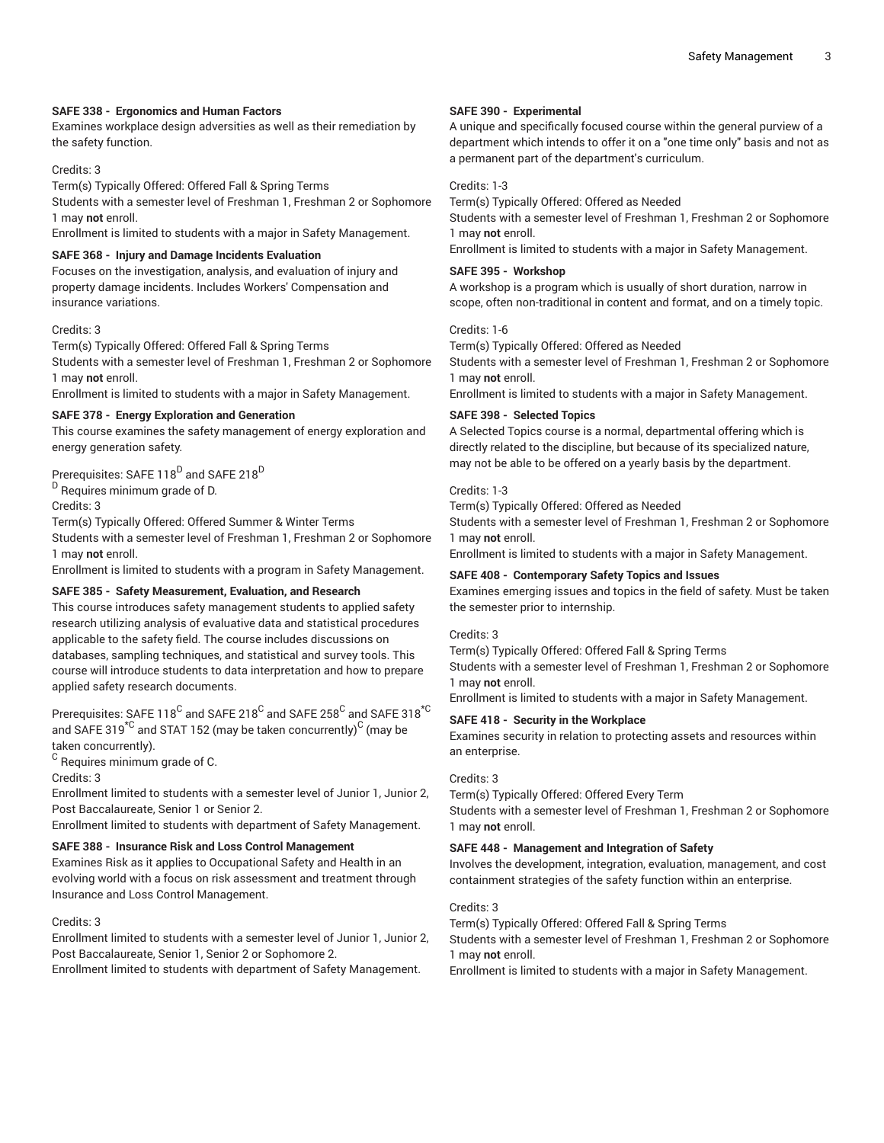# **SAFE 338 - Ergonomics and Human Factors**

Examines workplace design adversities as well as their remediation by the safety function.

# Credits: 3

Term(s) Typically Offered: Offered Fall & Spring Terms

Students with a semester level of Freshman 1, Freshman 2 or Sophomore 1 may **not** enroll.

Enrollment is limited to students with a major in Safety Management.

# **SAFE 368 - Injury and Damage Incidents Evaluation**

Focuses on the investigation, analysis, and evaluation of injury and property damage incidents. Includes Workers' Compensation and insurance variations.

#### Credits: 3

Term(s) Typically Offered: Offered Fall & Spring Terms Students with a semester level of Freshman 1, Freshman 2 or Sophomore 1 may **not** enroll.

Enrollment is limited to students with a major in Safety Management.

# **SAFE 378 - Energy Exploration and Generation**

This course examines the safety management of energy exploration and energy generation safety.

# Prerequisites: SAFE 118 $^{\mathrm{D}}$  and SAFE 218 $^{\mathrm{D}}$

<sup>D</sup> Requires minimum grade of D.

Credits: 3

Term(s) Typically Offered: Offered Summer & Winter Terms

Students with a semester level of Freshman 1, Freshman 2 or Sophomore 1 may **not** enroll.

Enrollment is limited to students with a program in Safety Management.

# **SAFE 385 - Safety Measurement, Evaluation, and Research**

This course introduces safety management students to applied safety research utilizing analysis of evaluative data and statistical procedures applicable to the safety field. The course includes discussions on databases, sampling techniques, and statistical and survey tools. This course will introduce students to data interpretation and how to prepare applied safety research documents.

Prerequisites: SAFE 118 $^{\rm C}$  and SAFE 218 $^{\rm C}$  and SAFE  $258^{\rm C}$  and SAFE 318 $^{\star{\rm C}}$ and SAFE 319 $^{\star{\mathbb C}}$  and STAT 152 (may be taken concurrently) $^{\mathbb C}$  (may be taken concurrently).

 $^{\rm C}$  Requires minimum grade of C.

Credits: 3

Enrollment limited to students with a semester level of Junior 1, Junior 2, Post Baccalaureate, Senior 1 or Senior 2.

Enrollment limited to students with department of Safety Management.

# **SAFE 388 - Insurance Risk and Loss Control Management**

Examines Risk as it applies to Occupational Safety and Health in an evolving world with a focus on risk assessment and treatment through Insurance and Loss Control Management.

#### Credits: 3

Enrollment limited to students with a semester level of Junior 1, Junior 2, Post Baccalaureate, Senior 1, Senior 2 or Sophomore 2.

Enrollment limited to students with department of Safety Management.

#### **SAFE 390 - Experimental**

A unique and specifically focused course within the general purview of a department which intends to offer it on a "one time only" basis and not as a permanent part of the department's curriculum.

#### Credits: 1-3

Term(s) Typically Offered: Offered as Needed

Students with a semester level of Freshman 1, Freshman 2 or Sophomore 1 may **not** enroll.

Enrollment is limited to students with a major in Safety Management.

# **SAFE 395 - Workshop**

A workshop is a program which is usually of short duration, narrow in scope, often non-traditional in content and format, and on a timely topic.

#### Credits: 1-6

Term(s) Typically Offered: Offered as Needed

Students with a semester level of Freshman 1, Freshman 2 or Sophomore 1 may **not** enroll.

Enrollment is limited to students with a major in Safety Management.

#### **SAFE 398 - Selected Topics**

A Selected Topics course is a normal, departmental offering which is directly related to the discipline, but because of its specialized nature, may not be able to be offered on a yearly basis by the department.

#### Credits: 1-3

Term(s) Typically Offered: Offered as Needed

Students with a semester level of Freshman 1, Freshman 2 or Sophomore 1 may **not** enroll.

Enrollment is limited to students with a major in Safety Management.

# **SAFE 408 - Contemporary Safety Topics and Issues**

Examines emerging issues and topics in the field of safety. Must be taken the semester prior to internship.

#### Credits: 3

Term(s) Typically Offered: Offered Fall & Spring Terms Students with a semester level of Freshman 1, Freshman 2 or Sophomore 1 may **not** enroll.

Enrollment is limited to students with a major in Safety Management.

#### **SAFE 418 - Security in the Workplace**

Examines security in relation to protecting assets and resources within an enterprise.

#### Credits: 3

Term(s) Typically Offered: Offered Every Term Students with a semester level of Freshman 1, Freshman 2 or Sophomore 1 may **not** enroll.

#### **SAFE 448 - Management and Integration of Safety**

Involves the development, integration, evaluation, management, and cost containment strategies of the safety function within an enterprise.

# Credits: 3

Term(s) Typically Offered: Offered Fall & Spring Terms

Students with a semester level of Freshman 1, Freshman 2 or Sophomore 1 may **not** enroll.

Enrollment is limited to students with a major in Safety Management.